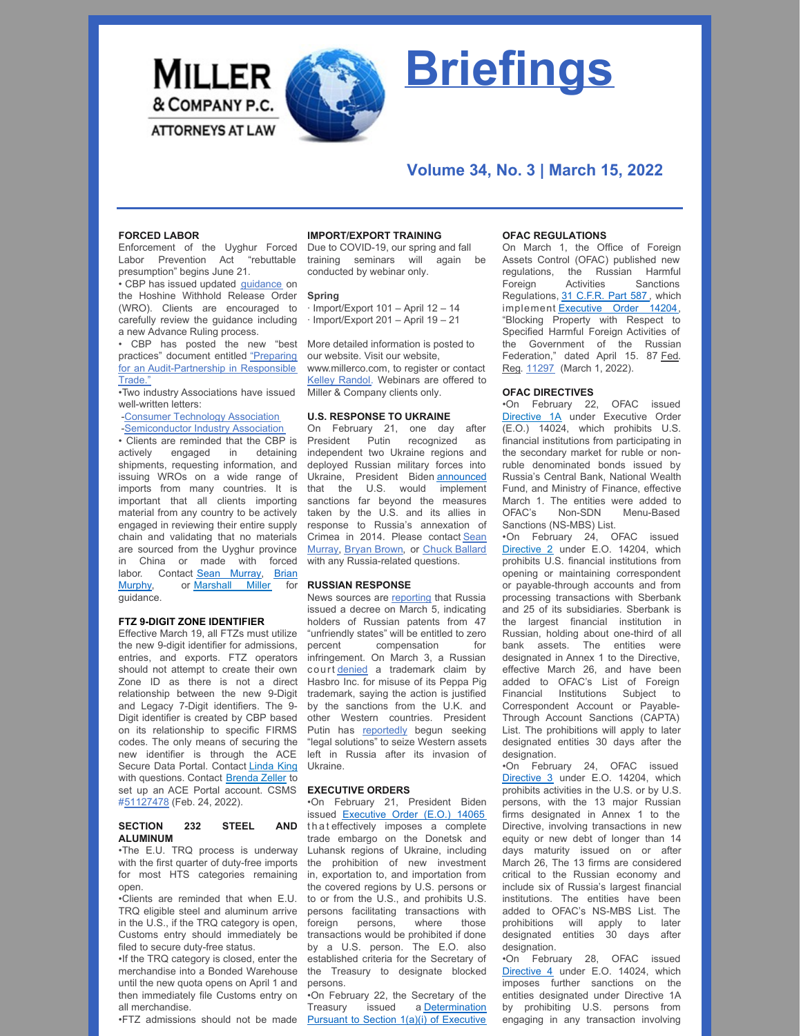

# **Briefings**

## **Volume 34, No. 3 | March 15, 2022**

## **FORCED LABOR**

Enforcement of the Uyghur Forced Labor Prevention Act "rebuttable presumption" begins June 21.

• CBP has issued updated [guidance](https://www.cbp.gov/sites/default/files/assets/documents/2022-Mar/CBP Hoshine WRO Industry Guidance - 3.1.2022_CBP_508.pdf) on the Hoshine Withhold Release Order (WRO). Clients are encouraged to carefully review the guidance including a new Advance Ruling process.

• CBP has posted the new "best practices" document entitled "Preparing for an [Audit-Partnership](https://nam10.safelinks.protection.outlook.com/?url=https%3A%2F%2Fmillerco.com%2Fsites%2Fdefault%2Ffiles%2F2022-03%2FCBP%2520Audit%2520Partnership%2520in%2520Responsible%2520Trade%2520%252800230030xB740D%2529.PDF&data=04%7C01%7CAwalker%40millerco.com%7C01afd7ccaf0c431398c408da06941070%7C73a168550ba84f79a774e89e3694b602%7C1%7C0%7C637829530262892419%7CUnknown%7CTWFpbGZsb3d8eyJWIjoiMC4wLjAwMDAiLCJQIjoiV2luMzIiLCJBTiI6Ik1haWwiLCJXVCI6Mn0%3D%7C3000&sdata=PhVJAX8j95GeabQh1jbaixltQF2gnIIR5XcM1pQpVEU%3D&reserved=0) in Responsible Trade."

•Two industry Associations have issued well-written letters:

-Consumer [Technology](https://nam10.safelinks.protection.outlook.com/?url=https%3A%2F%2Fmillerco.com%2Fsites%2Fdefault%2Ffiles%2F2022-03%2FCTA%2520Letter%2520%252800230022xB740D%2529.PDF&data=04%7C01%7CAwalker%40millerco.com%7C85425b6402e642a0311708da069430aa%7C73a168550ba84f79a774e89e3694b602%7C1%7C0%7C637829530774649213%7CUnknown%7CTWFpbGZsb3d8eyJWIjoiMC4wLjAwMDAiLCJQIjoiV2luMzIiLCJBTiI6Ik1haWwiLCJXVCI6Mn0%3D%7C3000&sdata=%2FQosp9PNzoe4IQVGGRl7b6zYGFODv3Xv0g73reMxXBQ%3D&reserved=0) Association [-Semiconductor](https://nam10.safelinks.protection.outlook.com/?url=https%3A%2F%2Fmillerco.com%2Fsites%2Fdefault%2Ffiles%2F2022-03%2F2022_03_14_16_54_47.pdf&data=04%7C01%7CAwalker%40millerco.com%7C54904570c9ad42719f9108da06945ee6%7C73a168550ba84f79a774e89e3694b602%7C1%7C0%7C637829531548278034%7CUnknown%7CTWFpbGZsb3d8eyJWIjoiMC4wLjAwMDAiLCJQIjoiV2luMzIiLCJBTiI6Ik1haWwiLCJXVCI6Mn0%3D%7C3000&sdata=sSyZ5%2FLqcHMMJGgMiFHtTE6EO7eWI949ulZ3PnOq6Ps%3D&reserved=0) Industry Association

• Clients are reminded that the CBP is actively engaged in detaining shipments, requesting information, and issuing WROs on a wide range of imports from many countries. It is important that all clients importing material from any country to be actively engaged in reviewing their entire supply chain and validating that no materials are sourced from the Uyghur province in China or made with forced labor. Contact Sean [Murray](mailto:smurray@millerco.com), Brian Murphy, or [Marshall](mailto:bmurphy@millerco.com) Miller for guidance.

#### **FTZ 9-DIGIT ZONE IDENTIFIER**

Effective March 19, all FTZs must utilize the new 9-digit identifier for admissions, entries, and exports. FTZ operators should not attempt to create their own Zone ID as there is not a direct relationship between the new 9-Digit and Legacy 7-Digit identifiers. The 9- Digit identifier is created by CBP based on its relationship to specific FIRMS codes. The only means of securing the new identifier is through the ACE Secure Data Portal. Contact [Linda](mailto:lking@millerco.com) King with questions. Contact **[Brenda](mailto:bzeller@millerco.com) Zeller** to set up an ACE Portal account. CSMS #[51127478](https://content.govdelivery.com/bulletins/gd/USDHSCBP-30c24b6?wgt_ref=USDHSCBP_WIDGET_2) (Feb. 24, 2022).

#### **SECTION 232 STEEL AND ALUMINUM**

•The E.U. TRQ process is underway with the first quarter of duty-free imports for most HTS categories remaining open.

•Clients are reminded that when E.U. TRQ eligible steel and aluminum arrive in the U.S., if the TRQ category is open, Customs entry should immediately be filed to secure duty-free status.

•If the TRQ category is closed, enter the merchandise into a Bonded Warehouse until the new quota opens on April 1 and then immediately file Customs entry on all merchandise.

## **IMPORT/EXPORT TRAINING**

Due to COVID-19, our spring and fall training seminars will again be conducted by webinar only.

#### **Spring**

· Import/Export 101 – April 12 – 14 · Import/Export 201 – April 19 – 21

More detailed information is posted to our website. Visit our website, www.millerco.com, to register or contact Kelley [Randol](mailto:krandol@millerco.com). Webinars are offered to Miller & Company clients only.

## **U.S. RESPONSE TO UKRAINE**

On February 21, one day after President Putin recognized as independent two Ukraine regions and deployed Russian military forces into Ukraine, President Biden [announced](https://www.youtube.com/watch?v=G8yTAHf4Eio) that the U.S. would implement sanctions far beyond the measures taken by the U.S. and its allies in response to Russia's annexation of Crimea in 2014. Please contact Sean [Murray,](mailto:smurray@millerco.com) Bryan [Brown](mailto:bbrown@millerco.com), or Chuck [Ballard](mailto:cballard@millerco.com) with any Russia-related questions.

#### **RUSSIAN RESPONSE**

News sources are [reporting](https://nam10.safelinks.protection.outlook.com/?url=https%3A%2F%2Fwww.jdsupra.com%2Flegalnews%2Frussia-decrees-patent-owners-from-the-u-7128961%2F&data=04%7C01%7Ckrandol%40millerco.com%7C9e59022bc1f0423e23a808da05fcf700%7C73a168550ba84f79a774e89e3694b602%7C1%7C0%7C637828881278056962%7CUnknown%7CTWFpbGZsb3d8eyJWIjoiMC4wLjAwMDAiLCJQIjoiV2luMzIiLCJBTiI6Ik1haWwiLCJXVCI6Mn0%3D%7C3000&sdata=jjIhgWFShiFPBCligQ40oGAXpLciL8uaDUq7N46hPoc%3D&reserved=0) that Russia issued a decree on March 5, indicating holders of Russian patents from 47 "unfriendly states" will be entitled to zero percent compensation for infringement. On March 3, a Russian court [denied](https://nam10.safelinks.protection.outlook.com/?url=https%3A%2F%2Fwww.law360.com%2Farticles%2F1472668%3Fsidebar%3Dtrue&data=04%7C01%7Ckrandol%40millerco.com%7C9e59022bc1f0423e23a808da05fcf700%7C73a168550ba84f79a774e89e3694b602%7C1%7C0%7C637828881278056962%7CUnknown%7CTWFpbGZsb3d8eyJWIjoiMC4wLjAwMDAiLCJQIjoiV2luMzIiLCJBTiI6Ik1haWwiLCJXVCI6Mn0%3D%7C3000&sdata=Eq6wsYoy31xrX4AlXAOpIpvsgVCPKNWHMAIr0eLTCnU%3D&reserved=0) a trademark claim by Hasbro Inc. for misuse of its Peppa Pig trademark, saying the action is justified by the sanctions from the U.K. and other Western countries. President Putin has [reportedly](https://nam10.safelinks.protection.outlook.com/?url=https%3A%2F%2Ffortune.com%2F2022%2F03%2F10%2Fputin-western-companies-assets%2F&data=04%7C01%7Ckrandol%40millerco.com%7C9e59022bc1f0423e23a808da05fcf700%7C73a168550ba84f79a774e89e3694b602%7C1%7C0%7C637828881278056962%7CUnknown%7CTWFpbGZsb3d8eyJWIjoiMC4wLjAwMDAiLCJQIjoiV2luMzIiLCJBTiI6Ik1haWwiLCJXVCI6Mn0%3D%7C3000&sdata=v%2FOfcaWhOV6ytSvFtQzbJZAhVOtWfbX5%2BFaHnwXBuUc%3D&reserved=0) begun seeking "legal solutions" to seize Western assets left in Russia after its invasion of Ukraine.

## **EXECUTIVE ORDERS**

•On February 21, President Biden issued [Executive](https://home.treasury.gov/system/files/126/14065.pdf) Order (E.O.) 14065 th at effectively imposes a complete trade embargo on the Donetsk and Luhansk regions of Ukraine, including the prohibition of new investment in, exportation to, and importation from the covered regions by U.S. persons or to or from the U.S., and prohibits U.S. persons facilitating transactions with foreign persons, where those transactions would be prohibited if done by a U.S. person. The E.O. also established criteria for the Secretary of the Treasury to designate blocked persons.

•FTZ admissions should not be made Pursuant to Section 1(a)(i) of Executive •On February 22, the Secretary of the Treasury issued a [Determination](https://home.treasury.gov/system/files/126/russia_harmful_determination_20220222.pdf)

#### **OFAC REGULATIONS**

On March 1, the Office of Foreign Assets Control (OFAC) published new regulations, the Russian Harmful Foreign Activities Sanctions Regulations, 31 [C.F.R.](https://www.ecfr.gov/current/title-31/subtitle-B/chapter-V/part-587) Part 587 , which implement [Executive](https://home.treasury.gov/system/files/126/14024.pdf) Order 14204, "Blocking Property with Respect to Specified Harmful Foreign Activities of the Government of the Russian Federation," dated April 15. 87 Fed. Reg. [11297](https://home.treasury.gov/system/files/126/fr87_11297.pdf) (March 1, 2022).

## **OFAC DIRECTIVES**

•On February 22, OFAC issued [Directive](https://home.treasury.gov/system/files/126/russia_directive_1a.pdf) 1A under Executive Order (E.O.) 14024, which prohibits U.S. financial institutions from participating in the secondary market for ruble or nonruble denominated bonds issued by Russia's Central Bank, National Wealth Fund, and Ministry of Finance, effective March 1. The entities were added to OFAC's Non-SDN Menu-Based Sanctions (NS-MBS) List.

•On February 24, OFAC issued [Directive](https://home.treasury.gov/system/files/126/correspondent_accounts_directive_2.pdf) 2 under E.O. 14204, which prohibits U.S. financial institutions from opening or maintaining correspondent or payable-through accounts and from processing transactions with Sberbank and 25 of its subsidiaries. Sberbank is the largest financial institution in Russian, holding about one-third of all bank assets. The entities were designated in Annex 1 to the Directive, effective March 26, and have been added to OFAC's List of Foreign Financial Institutions Subject to Correspondent Account or Payable-Through Account Sanctions (CAPTA) List. The prohibitions will apply to later designated entities 30 days after the designation

•On February 24, OFAC issued [Directive](https://home.treasury.gov/system/files/126/new_debt_and_equity_directive_3.pdf) 3 under E.O. 14204, which prohibits activities in the U.S. or by U.S. persons, with the 13 major Russian firms designated in Annex 1 to the Directive, involving transactions in new equity or new debt of longer than 14 days maturity issued on or after March 26, The 13 firms are considered critical to the Russian economy and include six of Russia's largest financial institutions. The entities have been added to OFAC's NS-MBS List. The<br>prohibitions will apply to later prohibitions will apply to designated entities 30 days after designation.

•On February 28, OFAC issued [Directive](https://home.treasury.gov/system/files/126/eo14024_directive_4_02282022.pdf) 4 under E.O. 14024, which imposes further sanctions on the entities designated under Directive 1A by prohibiting U.S. persons from engaging in any transaction involving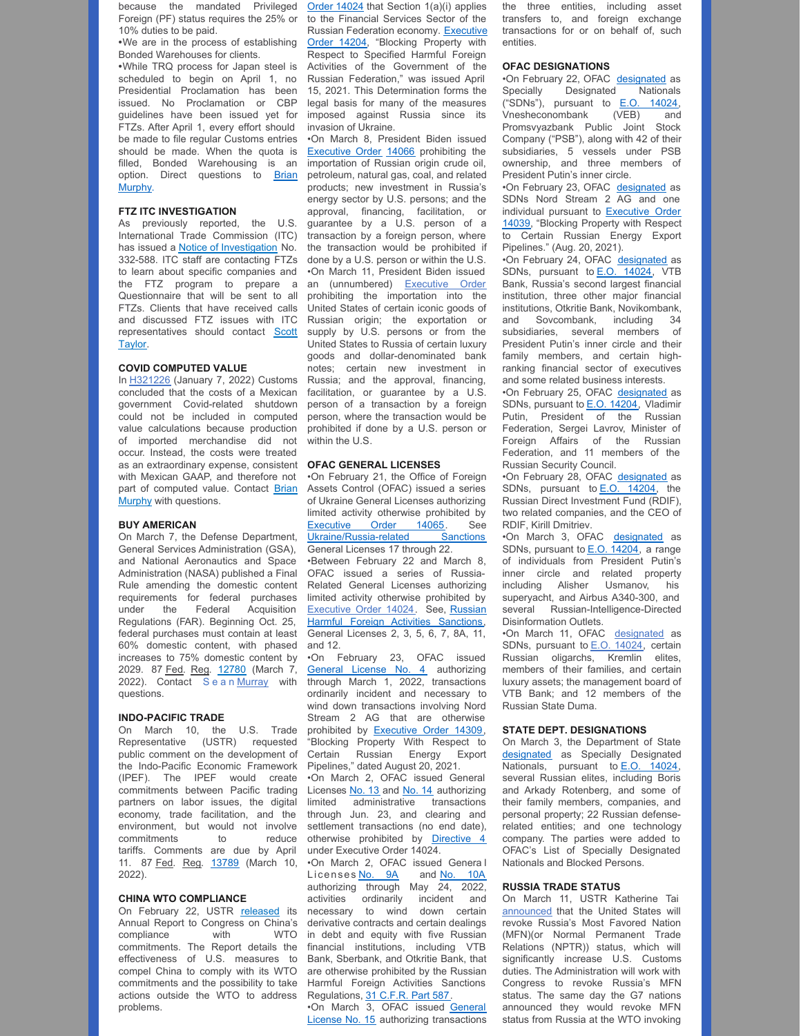because the mandated Privileged Foreign (PF) status requires the 25% or 10% duties to be paid.

**•**We are in the process of establishing Bonded Warehouses for clients.

**•**While TRQ process for Japan steel is scheduled to begin on April 1, no Presidential Proclamation has been issued. No Proclamation or CBP guidelines have been issued yet for FTZs. After April 1, every effort should be made to file regular Customs entries should be made. When the quota is filled, Bonded Warehousing is an option. Direct [questions](mailto:bmurphy@millerco.com) to Brian Murphy.

## **FTZ ITC INVESTIGATION**

As previously reported, the U.S. International Trade Commission (ITC) has issued a **Notice of [Investigation](https://nam10.safelinks.protection.outlook.com/?url=https%3A%2F%2Fwww.usitc.gov%2Fpress_room%2Fnews_release%2F2022%2Fer0126ll1875.htm&data=04%7C01%7CAwalker%40millerco.com%7C534a853551934aa5adf408da0388b57d%7C73a168550ba84f79a774e89e3694b602%7C1%7C0%7C637826182944988565%7CUnknown%7CTWFpbGZsb3d8eyJWIjoiMC4wLjAwMDAiLCJQIjoiV2luMzIiLCJBTiI6Ik1haWwiLCJXVCI6Mn0%3D%7C3000&sdata=whbvURYc26VWe%2FioLxek5Tr7Z27sJh0A8NLd%2FwIT22E%3D&reserved=0)** No. 332-588. ITC staff are contacting FTZs to learn about specific companies and the FTZ program to prepare a Questionnaire that will be sent to all FTZs. Clients that have received calls and discussed FTZ issues with ITC [representatives](mailto:staylor@millerco.com) should contact Scott Taylor.

#### **COVID COMPUTED VALUE**

In [H321226](https://nam10.safelinks.protection.outlook.com/?url=https%3A%2F%2Frulings.cbp.gov%2Fruling%2Fh321226&data=04%7C01%7CAwalker%40millerco.com%7Cdabf5ca1e3b04cc24e3c08da06a46af3%7C73a168550ba84f79a774e89e3694b602%7C1%7C0%7C637829600495787595%7CUnknown%7CTWFpbGZsb3d8eyJWIjoiMC4wLjAwMDAiLCJQIjoiV2luMzIiLCJBTiI6Ik1haWwiLCJXVCI6Mn0%3D%7C3000&sdata=GB5bKLTVIV3vhJEWD7WCn3hNHnFrdPJt%2FrYidghF15E%3D&reserved=0) (January 7, 2022) Customs concluded that the costs of a Mexican government Covid-related shutdown could not be included in computed value calculations because production of imported merchandise did not occur. Instead, the costs were treated as an extraordinary expense, consistent with Mexican GAAP, and therefore not part of computed value. Contact Brian Murphy with [questions.](mailto:bmurphy@millerco.com)

#### **BUY AMERICAN**

On March 7, the Defense Department, General Services Administration (GSA), and National Aeronautics and Space Administration (NASA) published a Final Rule amending the domestic content requirements for federal purchases under the Federal Acquisition Regulations (FAR). Beginning Oct. 25, federal purchases must contain at least 60% domestic content, with phased increases to 75% domestic content by 2029. 87 Fed. Reg. [12780](https://nam10.safelinks.protection.outlook.com/?url=https%3A%2F%2Fwww.govinfo.gov%2Fcontent%2Fpkg%2FFR-2022-03-07%2Fpdf%2F2022-04173.pdf&data=04%7C01%7CAwalker%40millerco.com%7C56002a23a3ba4a9fe81b08da01ff092b%7C73a168550ba84f79a774e89e3694b602%7C1%7C0%7C637824492127053322%7CUnknown%7CTWFpbGZsb3d8eyJWIjoiMC4wLjAwMDAiLCJQIjoiV2luMzIiLCJBTiI6Ik1haWwiLCJXVCI6Mn0%3D%7C3000&sdata=H4M1vbpCUz1pu%2BviUCMRLFKB4SP2BytNTHpuECvuDZk%3D&reserved=0) (March 7, 2022). Contact Sean [Murray](mailto:smurray@millerco.com) with questions.

#### **INDO-PACIFIC TRADE**

On March 10, the U.S. Trade Representative (USTR) requested public comment on the development of the Indo-Pacific Economic Framework (IPEF). The IPEF would create commitments between Pacific trading partners on labor issues, the digital economy, trade facilitation, and the environment, but would not involve commitments to reduce tariffs. Comments are due by April 11. 87 Fed. Reg. [13789](https://nam10.safelinks.protection.outlook.com/?url=https%3A%2F%2Fwww.govinfo.gov%2Fcontent%2Fpkg%2FFR-2022-03-10%2Fpdf%2F2022-05044.pdf&data=04%7C01%7CAwalker%40millerco.com%7Cfefbb84a4faa4b6ae17808da036e691a%7C73a168550ba84f79a774e89e3694b602%7C1%7C0%7C637826070001770255%7CUnknown%7CTWFpbGZsb3d8eyJWIjoiMC4wLjAwMDAiLCJQIjoiV2luMzIiLCJBTiI6Ik1haWwiLCJXVCI6Mn0%3D%7C3000&sdata=Eav9Os3Z4G857qwPNDFjixXecCMWgGRag2uTlLNeoSw%3D&reserved=0) (March 10, 2022).

## **CHINA WTO COMPLIANCE**

On February 22, USTR [released](https://nam10.safelinks.protection.outlook.com/?url=https%3A%2F%2Fustr.gov%2Fsites%2Fdefault%2Ffiles%2Fenforcement%2FWTO%2F2021%2520USTR%2520Report%2520to%2520Congress%2520on%2520China%27s%2520WTO%2520Compliance.pdf&data=04%7C01%7CAwalker%40millerco.com%7C56002a23a3ba4a9fe81b08da01ff092b%7C73a168550ba84f79a774e89e3694b602%7C1%7C0%7C637824492127053322%7CUnknown%7CTWFpbGZsb3d8eyJWIjoiMC4wLjAwMDAiLCJQIjoiV2luMzIiLCJBTiI6Ik1haWwiLCJXVCI6Mn0%3D%7C3000&sdata=wGMJxG74PzZ%2BdY6%2B5XS%2B8qQzh4DfKq3PCubInUXJw6I%3D&reserved=0) its Annual Report to Congress on China's compliance with WTO commitments. The Report details the effectiveness of U.S. measures to compel China to comply with its WTO commitments and the possibility to take actions outside the WTO to address problems.

Order 14024 that Section 1(a)(i) applies to the Financial Services Sector of the Russian [Federation](https://home.treasury.gov/system/files/126/14024.pdf) economy. Executive Order 14204, "Blocking Property with Respect to Specified Harmful Foreign Activities of the Government of the Russian Federation," was issued April 15, 2021. This Determination forms the legal basis for many of the measures imposed against Russia since its invasion of Ukraine.

•On March 8, President Biden issued **[Executive](https://home.treasury.gov/system/files/126/eo_prohibitions_imports_investments.pdf) Order 14066** prohibiting the importation of Russian origin crude oil, petroleum, natural gas, coal, and related products; new investment in Russia's energy sector by U.S. persons; and the approval, financing, facilitation, or guarantee by a U.S. person of a transaction by a foreign person, where the transaction would be prohibited if done by a U.S. person or within the U.S. •On March 11, President Biden issued an (unnumbered) [Executive](https://nam10.safelinks.protection.outlook.com/?url=https%3A%2F%2Fhome.treasury.gov%2Fsystem%2Ffiles%2F126%2Frussia_eo_20220311.pdf&data=04%7C01%7Cmcox%40millerco.com%7C1dae0d2c0f2a4448021f08da042cffa8%7C73a168550ba84f79a774e89e3694b602%7C1%7C0%7C637826888549130568%7CUnknown%7CTWFpbGZsb3d8eyJWIjoiMC4wLjAwMDAiLCJQIjoiV2luMzIiLCJBTiI6Ik1haWwiLCJXVCI6Mn0%3D%7C3000&sdata=w4XHkwUsksJe1nnrtc9HnsKnmXgVikVPZCC%2FESmk05E%3D&reserved=0) Order prohibiting the importation into the United States of certain iconic goods of Russian origin; the exportation or supply by U.S. persons or from the United States to Russia of certain luxury goods and dollar-denominated bank notes; certain new investment in Russia; and the approval, financing, facilitation, or guarantee by a U.S. person of a transaction by a foreign person, where the transaction would be prohibited if done by a U.S. person or within the U.S.

#### **OFAC GENERAL LICENSES**

•On February 21, the Office of Foreign Assets Control (OFAC) issued a series of Ukraine General Licenses authorizing limited activity otherwise prohibited by [Executive](https://home.treasury.gov/system/files/126/14065.pdf) Order 14065. See [Ukraine/Russia-related](https://home.treasury.gov/policy-issues/financial-sanctions/sanctions-programs-and-country-information/ukraine-russia-related-sanctions) Sanctions General Licenses 17 through 22.

•Between February 22 and March 8, OFAC issued a series of Russia-Related General Licenses authorizing limited activity otherwise prohibited by [Executive](https://home.treasury.gov/system/files/126/14024.pdf) Order 14024. See, Russian Harmful Foreign Activities [Sanctions,](https://home.treasury.gov/policy-issues/financial-sanctions/sanctions-programs-and-country-information/russian-harmful-foreign-activities-sanctions) General Licenses 2, 3, 5, 6, 7, 8A, 11, and 12.

•On February 23, OFAC issued [General](https://home.treasury.gov/system/files/126/peesa_gl4.pdf) License No. 4 authorizing through March 1, 2022, transactions ordinarily incident and necessary to wind down transactions involving Nord Stream 2 AG that are otherwise prohibited by **[Executive](https://home.treasury.gov/system/files/126/14039.pdf) Order 14309**, "Blocking Property With Respect to Certain Russian Energy Export Pipelines," dated August 20, 2021.

•On March 2, OFAC issued General Licenses [No.](https://home.treasury.gov/system/files/126/russia_gl14.pdf) 13 and No. 14 authorizing limited administrative transactions through Jun. 23, and clearing and settlement transactions (no end date), otherwise prohibited by **[Directive](https://home.treasury.gov/system/files/126/eo14024_directive_4_02282022.pdf) 4** under Executive Order 14024.

•On March 2, OFAC issued Genera l Licenses [No.](https://home.treasury.gov/system/files/126/russia_gl9a.pdf) 9A and No. [10A](https://home.treasury.gov/system/files/126/russia_gl9a.pdf) authorizing through May 24, 2022, activities ordinarily incident and necessary to wind down certain derivative contracts and certain dealings in debt and equity with five Russian financial institutions, including VTB Bank, Sberbank, and Otkritie Bank, that are otherwise prohibited by the Russian Harmful Foreign Activities Sanctions Regulations, 31 [C.F.R.](https://www.ecfr.gov/current/title-31/subtitle-B/chapter-V/part-587) Part 587.

•On March 3, OFAC issued General License No. 15 authorizing [transactions](https://home.treasury.gov/system/files/126/russia_gl15.pdf) the three entities, including asset transfers to, and foreign exchange transactions for or on behalf of, such entities.

#### **OFAC DESIGNATIONS**

•On February 22, OFAC [designated](https://home.treasury.gov/news/press-releases/jy0602) as Specially Designated Nationals ("SDNs"), pursuant to E.O. [14024](https://home.treasury.gov/system/files/126/14024.pdf), Vnesheconombank (VEB) and Promsvyazbank Public Joint Stock Company ("PSB"), along with 42 of their subsidiaries, 5 vessels under PSB ownership, and three members of President Putin's inner circle.

•On February 23, OFAC [designated](https://home.treasury.gov/policy-issues/financial-sanctions/recent-actions/20220223_33) as SDNs Nord Stream 2 AG and one individual pursuant to [Executive](https://home.treasury.gov/system/files/126/14039.pdf) Order 14039, "Blocking Property with Respect to Certain Russian Energy Export Pipelines." (Aug. 20, 2021).

•On February 24, OFAC [designated](https://home.treasury.gov/news/press-releases/jy0608) as SDNs, pursuant to **E.O. [14024](https://home.treasury.gov/system/files/126/14024.pdf)**, VTB Bank, Russia's second largest financial institution, three other major financial institutions, Otkritie Bank, Novikombank, and Sovcombank, including 34 subsidiaries, several members of President Putin's inner circle and their family members, and certain highranking financial sector of executives and some related business interests.

•On February 25, OFAC [designated](https://home.treasury.gov/news/press-releases/jy0610) as SDNs, pursuant to **E.O. [14204](https://home.treasury.gov/system/files/126/14024.pdf)**, Vladimir Putin, President of the Russian Federation, Sergei Lavrov, Minister of Foreign Affairs of the Russian Federation, and 11 members of the Russian Security Council.

•On February 28, OFAC [designated](https://home.treasury.gov/news/press-releases/jy0612) as SDNs, pursuant to **E.O. [14204](https://home.treasury.gov/system/files/126/14024.pdf)**, the Russian Direct Investment Fund (RDIF), two related companies, and the CEO of RDIF, Kirill Dmitriev.

•On March 3, OFAC [designated](https://home.treasury.gov/news/press-releases/jy0628) as SDNs, pursuant to E.O. [14204](https://home.treasury.gov/system/files/126/14024.pdf), a range of individuals from President Putin's inner circle and related property including Alisher Usmanov, his superyacht, and Airbus A340-300, and several Russian-Intelligence-Directed Disinformation Outlets.

•On March 11, OFAC [designated](https://nam10.safelinks.protection.outlook.com/?url=https%3A%2F%2Fhome.treasury.gov%2Fnews%2Fpress-releases%2Fjy0650&data=04%7C01%7Cmcox%40millerco.com%7C1dae0d2c0f2a4448021f08da042cffa8%7C73a168550ba84f79a774e89e3694b602%7C1%7C0%7C637826888549130568%7CUnknown%7CTWFpbGZsb3d8eyJWIjoiMC4wLjAwMDAiLCJQIjoiV2luMzIiLCJBTiI6Ik1haWwiLCJXVCI6Mn0%3D%7C3000&sdata=qEWY5SIGWcsV5ep7HUfhLF7qtIMbnRwSMVOjl91WuMA%3D&reserved=0) as SDNs, pursuant to E.O. [14024](https://home.treasury.gov/system/files/126/russia_gl8a_1.pdf), certain Russian oligarchs, Kremlin elites, members of their families, and certain luxury assets; the management board of VTB Bank; and 12 members of the Russian State Duma.

#### **STATE DEPT. DESIGNATIONS**

On March 3, the Department of State [designated](https://www.state.gov/targeting-russian-elites-and-defense-enterprises-of-russian-federation/) as Specially Designated Nationals, pursuant to E.O. [14024](https://home.treasury.gov/system/files/126/14024.pdf), several Russian elites, including Boris and Arkady Rotenberg, and some of their family members, companies, and personal property; 22 Russian defenserelated entities; and one technology company. The parties were added to OFAC's List of Specially Designated Nationals and Blocked Persons.

#### **RUSSIA TRADE STATUS**

On March 11, USTR Katherine Tai [announced](https://nam10.safelinks.protection.outlook.com/?url=https%3A%2F%2Fustr.gov%2Fabout-us%2Fpolicy-offices%2Fpress-office%2Fpress-releases%2F2022%2Fmarch%2Fstatement-ambassador-katherine-tai-announcement-additional-economic-actions-against-russia&data=04%7C01%7Cmcox%40millerco.com%7C1dae0d2c0f2a4448021f08da042cffa8%7C73a168550ba84f79a774e89e3694b602%7C1%7C0%7C637826888549130568%7CUnknown%7CTWFpbGZsb3d8eyJWIjoiMC4wLjAwMDAiLCJQIjoiV2luMzIiLCJBTiI6Ik1haWwiLCJXVCI6Mn0%3D%7C3000&sdata=%2BIx8qem9eSt3%2FT4H4cpSoRTublR4%2BVGM0%2FE2ahZ5v%2FY%3D&reserved=0) that the United States will revoke Russia's Most Favored Nation (MFN)(or Normal Permanent Trade Relations (NPTR)) status, which will significantly increase U.S. Customs duties. The Administration will work with Congress to revoke Russia's MFN status. The same day the G7 nations announced they would revoke MFN status from Russia at the WTO invoking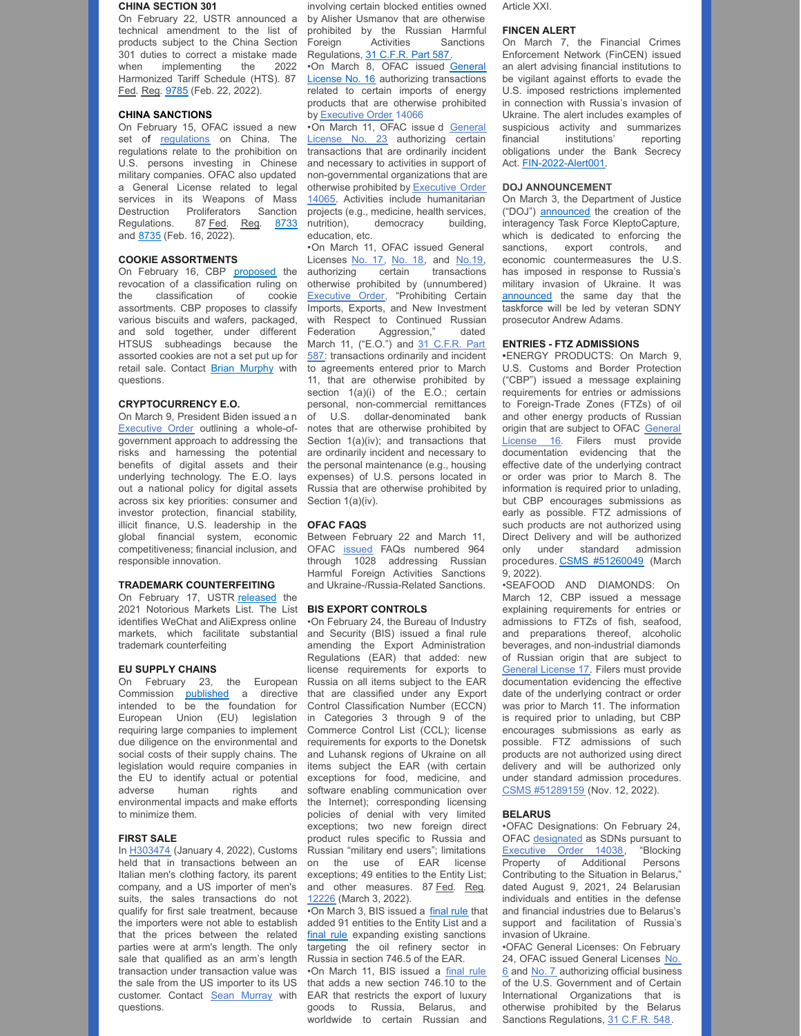#### **CHINA SECTION 301**

On February 22, USTR announced a technical amendment to the list of products subject to the China Section 301 duties to correct a mistake made when implementing the 2022 Harmonized Tariff Schedule (HTS). 87 Fed. Reg. [9785](https://nam10.safelinks.protection.outlook.com/?url=https%3A%2F%2Fwww.govinfo.gov%2Fcontent%2Fpkg%2FFR-2022-02-22%2Fpdf%2F2022-03701.pdf&data=04%7C01%7CAwalker%40millerco.com%7C56002a23a3ba4a9fe81b08da01ff092b%7C73a168550ba84f79a774e89e3694b602%7C1%7C0%7C637824492127053322%7CUnknown%7CTWFpbGZsb3d8eyJWIjoiMC4wLjAwMDAiLCJQIjoiV2luMzIiLCJBTiI6Ik1haWwiLCJXVCI6Mn0%3D%7C3000&sdata=Nu81cGXgf%2FiDOSjtK9N9yCyAXzo4CghMScPA8n4XgVo%3D&reserved=0) (Feb. 22, 2022).

## **CHINA SANCTIONS**

On February 15, OFAC issued a new set of [regulations](https://home.treasury.gov/policy-issues/financial-sanctions/recent-actions/20220215) on China. The regulations relate to the prohibition on U.S. persons investing in Chinese military companies. OFAC also updated a General License related to legal services in its Weapons of Mass Destruction Proliferators Sanction Regulations. 87 Fed. Reg. [8733](https://nam10.safelinks.protection.outlook.com/?url=https%3A%2F%2Fwww.govinfo.gov%2Fcontent%2Fpkg%2FFR-2022-02-16%2Fpdf%2F2022-03361.pdf%3Futm_source%3Dfederalregister.gov%26utm_medium%3Demail%26utm_campaign%3Dsubscription%2Bmailing%2Blist&data=04%7C01%7Cmcox%40millerco.com%7C6e1ae33a9d0f462041a908d9f17099e9%7C73a168550ba84f79a774e89e3694b602%7C1%7C0%7C637806288207600999%7CUnknown%7CTWFpbGZsb3d8eyJWIjoiMC4wLjAwMDAiLCJQIjoiV2luMzIiLCJBTiI6Ik1haWwiLCJXVCI6Mn0%3D%7C3000&sdata=aQflwmoDT2P9GXMgIWH6vaIX4FLXivzdnRqFHigG11Y%3D&reserved=0) and [8735](https://nam10.safelinks.protection.outlook.com/?url=https%3A%2F%2Fwww.govinfo.gov%2Fcontent%2Fpkg%2FFR-2022-02-16%2Fpdf%2F2022-03378.pdf%3Futm_source%3Dfederalregister.gov%26utm_medium%3Demail%26utm_campaign%3Dsubscription%2Bmailing%2Blist&data=04%7C01%7Cmcox%40millerco.com%7C6e1ae33a9d0f462041a908d9f17099e9%7C73a168550ba84f79a774e89e3694b602%7C1%7C0%7C637806288207600999%7CUnknown%7CTWFpbGZsb3d8eyJWIjoiMC4wLjAwMDAiLCJQIjoiV2luMzIiLCJBTiI6Ik1haWwiLCJXVCI6Mn0%3D%7C3000&sdata=edj5xbc6SF8qP99OweGvWsFq%2FWKZ%2Fk3Tnayt86BqFCg%3D&reserved=0) (Feb. 16, 2022).

## **COOKIE ASSORTMENTS**

On February 16, CBP [proposed](https://nam10.safelinks.protection.outlook.com/?url=https%3A%2F%2Fwww.cbp.gov%2Fsites%2Fdefault%2Ffiles%2Fassets%2Fdocuments%2F2022-Feb%2FVol_56_No_6_complete.pdf&data=04%7C01%7CAwalker%40millerco.com%7C56002a23a3ba4a9fe81b08da01ff092b%7C73a168550ba84f79a774e89e3694b602%7C1%7C0%7C637824492127053322%7CUnknown%7CTWFpbGZsb3d8eyJWIjoiMC4wLjAwMDAiLCJQIjoiV2luMzIiLCJBTiI6Ik1haWwiLCJXVCI6Mn0%3D%7C3000&sdata=oTkUoH3rIpwRwgg36H3OEN5DcKaQwQ8OnPy74jM397M%3D&reserved=0) the revocation of a classification ruling on the classification of cookie assortments. CBP proposes to classify various biscuits and wafers, packaged, and sold together, under different HTSUS subheadings because the assorted cookies are not a set put up for retail sale. Contact Brian [Murphy](mailto:bmurphy@millerco.com) with questions.

## **CRYPTOCURRENCY E.O.**

On March 9, President Biden issued a n [Executive](https://www.whitehouse.gov/briefing-room/presidential-actions/2022/03/09/executive-order-on-ensuring-responsible-development-of-digital-assets/) Order outlining a whole-ofgovernment approach to addressing the risks and harnessing the potential benefits of digital assets and their underlying technology. The E.O. lays out a national policy for digital assets across six key priorities: consumer and investor protection, financial stability, illicit finance, U.S. leadership in the global financial system, economic competitiveness; financial inclusion, and responsible innovation.

#### **TRADEMARK COUNTERFEITING**

On February 17, USTR [released](https://nam10.safelinks.protection.outlook.com/?url=https%3A%2F%2Fustr.gov%2Fsites%2Fdefault%2Ffiles%2FIssueAreas%2FIP%2F2021%2520Notorious%2520Markets%2520List.pdf&data=04%7C01%7CAwalker%40millerco.com%7C56002a23a3ba4a9fe81b08da01ff092b%7C73a168550ba84f79a774e89e3694b602%7C1%7C0%7C637824492127053322%7CUnknown%7CTWFpbGZsb3d8eyJWIjoiMC4wLjAwMDAiLCJQIjoiV2luMzIiLCJBTiI6Ik1haWwiLCJXVCI6Mn0%3D%7C3000&sdata=wU0DqEp%2Fy4QR3%2B6xYxBiIbPVosPpYzcfjuaNYbv%2FJXo%3D&reserved=0) the 2021 Notorious Markets List. The List identifies WeChat and AliExpress online markets, which facilitate substantial trademark counterfeiting

#### **EU SUPPLY CHAINS**

On February 23, the European Commission [published](https://nam10.safelinks.protection.outlook.com/?url=https%3A%2F%2Fec.europa.eu%2Finfo%2Fsites%2Fdefault%2Ffiles%2F1_1_183885_prop_dir_susta_en.pdf&data=04%7C01%7CAwalker%40millerco.com%7C56002a23a3ba4a9fe81b08da01ff092b%7C73a168550ba84f79a774e89e3694b602%7C1%7C0%7C637824492127053322%7CUnknown%7CTWFpbGZsb3d8eyJWIjoiMC4wLjAwMDAiLCJQIjoiV2luMzIiLCJBTiI6Ik1haWwiLCJXVCI6Mn0%3D%7C3000&sdata=q0qI8fVoaGrCbjlsYGkcGAUz25IqDld58gpiVSgJr78%3D&reserved=0) a directive intended to be the foundation for European Union (EU) legislation requiring large companies to implement due diligence on the environmental and social costs of their supply chains. The legislation would require companies in the EU to identify actual or potential adverse human rights and environmental impacts and make efforts to minimize them.

#### **FIRST SALE**

In [H303474](https://nam10.safelinks.protection.outlook.com/?url=https%3A%2F%2Finternationaltradetoday.com%2Fsource%2F828270&data=04%7C01%7CAwalker%40millerco.com%7Cdabf5ca1e3b04cc24e3c08da06a46af3%7C73a168550ba84f79a774e89e3694b602%7C1%7C0%7C637829600495787595%7CUnknown%7CTWFpbGZsb3d8eyJWIjoiMC4wLjAwMDAiLCJQIjoiV2luMzIiLCJBTiI6Ik1haWwiLCJXVCI6Mn0%3D%7C3000&sdata=lGe3A5vZ97BJHkCKULxoT%2BT%2BGn5%2F312mtFMi5tDSBtI%3D&reserved=0) (January 4, 2022), Customs held that in transactions between an Italian men's clothing factory, its parent company, and a US importer of men's suits, the sales transactions do not qualify for first sale treatment, because the importers were not able to establish that the prices between the related parties were at arm's length. The only sale that qualified as an arm's length transaction under transaction value was the sale from the US importer to its US customer. Contact Sean [Murray](mailto:smurray@millerco.com) with questions.

involving certain blocked entities owned by Alisher Usmanov that are otherwise prohibited by the Russian Harmful<br>Foreign Activities Sanctions Foreign Activities Sanctions Regulations, 31 [C.F.R.](https://www.ecfr.gov/current/title-31/subtitle-B/chapter-V/part-587) Part 587.

•On March 8, OFAC issued General License No. 16 authorizing [transactions](https://home.treasury.gov/system/files/126/russia_gl16.pdf) related to certain imports of energy products that are otherwise prohibited by [Executive](https://home.treasury.gov/system/files/126/eo_prohibitions_imports_investments.pdf) Order 14066

•On March 11, OFAC issue d General License No. 23 [authorizing](https://nam10.safelinks.protection.outlook.com/?url=https%3A%2F%2Fhome.treasury.gov%2Fsystem%2Ffiles%2F126%2Fukraine_gl23.pdf&data=04%7C01%7Ckrandol%40millerco.com%7C9e59022bc1f0423e23a808da05fcf700%7C73a168550ba84f79a774e89e3694b602%7C1%7C0%7C637828881278056962%7CUnknown%7CTWFpbGZsb3d8eyJWIjoiMC4wLjAwMDAiLCJQIjoiV2luMzIiLCJBTiI6Ik1haWwiLCJXVCI6Mn0%3D%7C3000&sdata=drmSRcgg%2BF5eY%2FYJW4lWGHc53I1ydWQeF%2FYrk0xXApY%3D&reserved=0) certain transactions that are ordinarily incident and necessary to activities in support of non-governmental organizations that are otherwise prohibited by Executive Order 14065. Activities include [humanitarian](https://nam10.safelinks.protection.outlook.com/?url=https%3A%2F%2Fhome.treasury.gov%2Fsystem%2Ffiles%2F126%2F14065.pdf&data=04%7C01%7Ckrandol%40millerco.com%7C9e59022bc1f0423e23a808da05fcf700%7C73a168550ba84f79a774e89e3694b602%7C1%7C0%7C637828881278056962%7CUnknown%7CTWFpbGZsb3d8eyJWIjoiMC4wLjAwMDAiLCJQIjoiV2luMzIiLCJBTiI6Ik1haWwiLCJXVCI6Mn0%3D%7C3000&sdata=6EOLJ9u9iAIzvjArUmUIjia41LZNmubLMQeGWqnHYf0%3D&reserved=0) projects (e.g., medicine, health services, nutrition), democracy building, education, etc.

•On March 11, OFAC issued General Licenses [No.](https://nam10.safelinks.protection.outlook.com/?url=https%3A%2F%2Fhome.treasury.gov%2Fsystem%2Ffiles%2F126%2Frussia_gl18.pdf&data=04%7C01%7Ckrandol%40millerco.com%7C9e59022bc1f0423e23a808da05fcf700%7C73a168550ba84f79a774e89e3694b602%7C1%7C0%7C637828881278056962%7CUnknown%7CTWFpbGZsb3d8eyJWIjoiMC4wLjAwMDAiLCJQIjoiV2luMzIiLCJBTiI6Ik1haWwiLCJXVCI6Mn0%3D%7C3000&sdata=KazmBt9fF72frirPFLnNGFeVuPrPhpjDoie1ybtYIsU%3D&reserved=0) 17, No. 18, and [No.19](https://nam10.safelinks.protection.outlook.com/?url=https%3A%2F%2Fhome.treasury.gov%2Fsystem%2Ffiles%2F126%2Frussia_gl19.pdf&data=04%7C01%7Ckrandol%40millerco.com%7C9e59022bc1f0423e23a808da05fcf700%7C73a168550ba84f79a774e89e3694b602%7C1%7C0%7C637828881278056962%7CUnknown%7CTWFpbGZsb3d8eyJWIjoiMC4wLjAwMDAiLCJQIjoiV2luMzIiLCJBTiI6Ik1haWwiLCJXVCI6Mn0%3D%7C3000&sdata=m4DGDqgCuolxA8j7bMtgCqTq9xdhozPqbUbbl4u6lco%3D&reserved=0), authorizing certain transactions otherwise prohibited by (unnumbered) [Executive](https://nam10.safelinks.protection.outlook.com/?url=https%3A%2F%2Fhome.treasury.gov%2Fsystem%2Ffiles%2F126%2Frussia_eo_20220311.pdf&data=04%7C01%7Ckrandol%40millerco.com%7C9e59022bc1f0423e23a808da05fcf700%7C73a168550ba84f79a774e89e3694b602%7C1%7C0%7C637828881278056962%7CUnknown%7CTWFpbGZsb3d8eyJWIjoiMC4wLjAwMDAiLCJQIjoiV2luMzIiLCJBTiI6Ik1haWwiLCJXVCI6Mn0%3D%7C3000&sdata=3eQTR9e6abxM%2BvNb%2BkEX3scfNZ9pMG1X1m1jIZ%2BeRXM%3D&reserved=0) Order, "Prohibiting Certain Imports, Exports, and New Investment with Respect to Continued Russian Federation Aggression," dated March 11, ("E.O.") and 31 C.F.R. Part 587: [transactions](https://nam10.safelinks.protection.outlook.com/?url=https%3A%2F%2Fwww.ecfr.gov%2Fcurrent%2Ftitle-31%2Fsubtitle-B%2Fchapter-V%2Fpart-587&data=04%7C01%7Ckrandol%40millerco.com%7C9e59022bc1f0423e23a808da05fcf700%7C73a168550ba84f79a774e89e3694b602%7C1%7C0%7C637828881278056962%7CUnknown%7CTWFpbGZsb3d8eyJWIjoiMC4wLjAwMDAiLCJQIjoiV2luMzIiLCJBTiI6Ik1haWwiLCJXVCI6Mn0%3D%7C3000&sdata=b6r0EfSdhttWjqdGNRans4jZ3QIICUT8kdYLFcgEUks%3D&reserved=0) ordinarily and incident to agreements entered prior to March 11, that are otherwise prohibited by section 1(a)(i) of the E.O.; certain personal, non-commercial remittances of U.S. dollar-denominated bank notes that are otherwise prohibited by Section 1(a)(iv); and transactions that are ordinarily incident and necessary to the personal maintenance (e.g., housing expenses) of U.S. persons located in Russia that are otherwise prohibited by Section 1(a)(iv).

#### **OFAC FAQS**

Between February 22 and March 11, OFAC [issued](https://nam10.safelinks.protection.outlook.com/?url=https%3A%2F%2Fhome.treasury.gov%2Fpolicy-issues%2Ffinancial-sanctions%2Ffaqs%2Ftopic%2F6626&data=04%7C01%7CAwalker%40millerco.com%7C2c149f61963b4240288f08da05c947dd%7C73a168550ba84f79a774e89e3694b602%7C1%7C0%7C637828659312227399%7CUnknown%7CTWFpbGZsb3d8eyJWIjoiMC4wLjAwMDAiLCJQIjoiV2luMzIiLCJBTiI6Ik1haWwiLCJXVCI6Mn0%3D%7C3000&sdata=tgvCvTr7xgjgD1BcZTBi1ZAhGOCIR7YmfOz88iuPVzA%3D&reserved=0) FAQs numbered 964 through 1028 addressing Russian Harmful Foreign Activities Sanctions and Ukraine-/Russia-Related Sanctions.

#### **BIS EXPORT CONTROLS**

•On February 24, the Bureau of Industry and Security (BIS) issued a final rule amending the Export Administration Regulations (EAR) that added: new license requirements for exports to Russia on all items subject to the EAR that are classified under any Export Control Classification Number (ECCN) in Categories 3 through 9 of the Commerce Control List (CCL); license requirements for exports to the Donetsk and Luhansk regions of Ukraine on all items subject the EAR (with certain exceptions for food, medicine, and software enabling communication over the Internet); corresponding licensing policies of denial with very limited exceptions; two new foreign direct product rules specific to Russia and Russian "military end users"; limitations on the use of EAR license exceptions; 49 entities to the Entity List; and other measures. 87 Fed. Reg. [12226](https://www.govinfo.gov/content/pkg/FR-2022-03-03/pdf/2022-04300.pdf) (March 3, 2022).

•On March 3, BIS issued a [final](https://www.federalregister.gov/documents/2022/03/09/2022-04925/further-imposition-of-sanctions-against-russia-with-the-addition-of-certain-entities-to-the-entity) rule that added 91 entities to the Entity List and a [final](https://www.federalregister.gov/documents/2022/03/08/2022-04912/expansion-of-sanctions-against-the-russian-industry-sector-under-the-export-administration) rule expanding existing sanctions targeting the oil refinery sector in Russia in section 746.5 of the EAR.

•On March 11, BIS issued a [final](https://nam10.safelinks.protection.outlook.com/?url=https%3A%2F%2Fpublic-inspection.federalregister.gov%2F2022-05604.pdf&data=04%7C01%7CAwalker%40millerco.com%7C0baae138cb0d43a11fb308da0449ec8a%7C73a168550ba84f79a774e89e3694b602%7C1%7C0%7C637827012806765609%7CUnknown%7CTWFpbGZsb3d8eyJWIjoiMC4wLjAwMDAiLCJQIjoiV2luMzIiLCJBTiI6Ik1haWwiLCJXVCI6Mn0%3D%7C3000&sdata=Yfr6scYD32zYKnmlvLdlISlddL32semP9yXwHv0yfcQ%3D&reserved=0) rule that adds a new section 746.10 to the EAR that restricts the export of luxury goods to Russia, Belarus, and worldwide to certain Russian and Article XXI.

#### **FINCEN ALERT**

On March 7, the Financial Crimes Enforcement Network (FinCEN) issued an alert advising financial institutions to be vigilant against efforts to evade the U.S. imposed restrictions implemented in connection with Russia's invasion of Ukraine. The alert includes examples of suspicious activity and summarizes<br>financial institutions' reporting institutions' reporting obligations under the Bank Secrecy Act. [FIN-2022-Alert001](https://www.fincen.gov/sites/default/files/2022-03/FinCEN Alert Russian Sanctions Evasion FINAL 508.pdf).

#### **DOJ ANNOUNCEMENT**

On March 3, the Department of Justice ("DOJ") [announced](https://www.justice.gov/opa/pr/attorney-general-merrick-b-garland-announces-launch-task-force-kleptocapture) the creation of the interagency Task Force KleptoCapture, which is dedicated to enforcing the sanctions, export controls, and economic countermeasures the U.S. has imposed in response to Russia's military invasion of Ukraine. It was [announced](https://www.justice.gov/opa/speech/attorney-general-merrick-b-garland-delivers-remarks-aba-institute-white-collar-crime) the same day that the taskforce will be led by veteran SDNY prosecutor Andrew Adams.

#### **ENTRIES - FTZ ADMISSIONS**

**•**ENERGY PRODUCTS: On March 9, U.S. Customs and Border Protection ("CBP") issued a message explaining requirements for entries or admissions to Foreign-Trade Zones (FTZs) of oil and other energy products of Russian origin that are subject to OFAC [General](https://home.treasury.gov/policy-issues/financial-sanctions/recent-actions/20211210_33) License 16. Filers must provide documentation evidencing that the effective date of the underlying contract or order was prior to March 8. The information is required prior to unlading, but CBP encourages submissions as early as possible. FTZ admissions of such products are not authorized using Direct Delivery and will be authorized only under standard admission procedures. CSMS [#51260049](https://content.govdelivery.com/bulletins/gd/USDHSCBP-30e2a91?wgt_ref=USDHSCBP_WIDGET_2) (March 9, 2022).

•SEAFOOD AND DIAMONDS: On March 12, CBP issued a message explaining requirements for entries or admissions to FTZs of fish, seafood, and preparations thereof, alcoholic beverages, and non-industrial diamonds of Russian origin that are subject to [General](https://nam10.safelinks.protection.outlook.com/?url=https%3A%2F%2Fhome.treasury.gov%2Fsystem%2Ffiles%2F126%2Frussia_gl17.pdf&data=04%7C01%7CAwalker%40millerco.com%7Cf541ae78deda4d28e1f508da0602c855%7C73a168550ba84f79a774e89e3694b602%7C1%7C0%7C637828906260620516%7CUnknown%7CTWFpbGZsb3d8eyJWIjoiMC4wLjAwMDAiLCJQIjoiV2luMzIiLCJBTiI6Ik1haWwiLCJXVCI6Mn0%3D%7C3000&sdata=Ss7KmJYGeUyikKdY398cNJ37ZPazzV9kC3CAEg5mpKk%3D&reserved=0) License 17. Filers must provide documentation evidencing the effective date of the underlying contract or order was prior to March 11. The information is required prior to unlading, but CBP encourages submissions as early as possible. FTZ admissions of such products are not authorized using direct delivery and will be authorized only under standard admission procedures. CSMS [#51289159](https://nam10.safelinks.protection.outlook.com/?url=https%3A%2F%2Fcontent.govdelivery.com%2Fbulletins%2Fgd%2FUSDHSCBP-30e9c47%3Fwgt_ref%3DUSDHSCBP_WIDGET_2&data=04%7C01%7CAwalker%40millerco.com%7Cf541ae78deda4d28e1f508da0602c855%7C73a168550ba84f79a774e89e3694b602%7C1%7C0%7C637828906260776734%7CUnknown%7CTWFpbGZsb3d8eyJWIjoiMC4wLjAwMDAiLCJQIjoiV2luMzIiLCJBTiI6Ik1haWwiLCJXVCI6Mn0%3D%7C3000&sdata=kcgQhWoyS%2FK%2FfMpU6JTVW%2FwL4T2SNe06IbTWuhdFsA8%3D&reserved=0) (Nov. 12, 2022).

#### **BELARUS**

•OFAC Designations: On February 24, OFAC [designated](https://nam10.safelinks.protection.outlook.com/?url=https%3A%2F%2Fhome.treasury.gov%2Fnews%2Fpress-releases%2Fjy0607%23%3A~%3Atext%3DWASHINGTON%2520%25E2%2580%2594%2520As%2520part%2520of%2520the%2Cand%2520facilitation%2520of%252C%2520the%2520invasion.&data=04%7C01%7Cmcox%40millerco.com%7C1dae0d2c0f2a4448021f08da042cffa8%7C73a168550ba84f79a774e89e3694b602%7C1%7C0%7C637826888548974773%7CUnknown%7CTWFpbGZsb3d8eyJWIjoiMC4wLjAwMDAiLCJQIjoiV2luMzIiLCJBTiI6Ik1haWwiLCJXVCI6Mn0%3D%7C3000&sdata=KDwpsJhRu56GIT3hIIKKP4erGhx%2BtRtH6yZaFxhf20s%3D&reserved=0) as SDNs pursuant to<br>Executive Order 14038, "Blocking [Executive](https://nam10.safelinks.protection.outlook.com/?url=https%3A%2F%2Fhome.treasury.gov%2Fsystem%2Ffiles%2F126%2F14038.pdf&data=04%7C01%7Cmcox%40millerco.com%7C1dae0d2c0f2a4448021f08da042cffa8%7C73a168550ba84f79a774e89e3694b602%7C1%7C0%7C637826888548974773%7CUnknown%7CTWFpbGZsb3d8eyJWIjoiMC4wLjAwMDAiLCJQIjoiV2luMzIiLCJBTiI6Ik1haWwiLCJXVCI6Mn0%3D%7C3000&sdata=q4LAUR%2B4SsRHLJykFVkOHWNHxnzccL1vzx6V%2BnsQOg4%3D&reserved=0) Order 14038, Property of Additional Persons Contributing to the Situation in Belarus," dated August 9, 2021, 24 Belarusian individuals and entities in the defense and financial industries due to Belarus's support and facilitation of Russia's invasion of Ukraine.

•OFAC General Licenses: On February 24, OFAC issued General Licenses No. 6 and [No.](https://nam10.safelinks.protection.outlook.com/?url=https%3A%2F%2Fhome.treasury.gov%2Fsystem%2Ffiles%2F126%2Fbelarus_gl7.pdf&data=04%7C01%7Cmcox%40millerco.com%7C1dae0d2c0f2a4448021f08da042cffa8%7C73a168550ba84f79a774e89e3694b602%7C1%7C0%7C637826888549130568%7CUnknown%7CTWFpbGZsb3d8eyJWIjoiMC4wLjAwMDAiLCJQIjoiV2luMzIiLCJBTiI6Ik1haWwiLCJXVCI6Mn0%3D%7C3000&sdata=GuUAcID8XZ7GDqsHw5cKXaRGNvfRMylguUh21WA%2BT8s%3D&reserved=0) 7 [authorizing](https://nam10.safelinks.protection.outlook.com/?url=https%3A%2F%2Fhome.treasury.gov%2Fsystem%2Ffiles%2F126%2Fbelarus_gl6.pdf&data=04%7C01%7Cmcox%40millerco.com%7C1dae0d2c0f2a4448021f08da042cffa8%7C73a168550ba84f79a774e89e3694b602%7C1%7C0%7C637826888548974773%7CUnknown%7CTWFpbGZsb3d8eyJWIjoiMC4wLjAwMDAiLCJQIjoiV2luMzIiLCJBTiI6Ik1haWwiLCJXVCI6Mn0%3D%7C3000&sdata=3Gpo3%2FvSNbMA32bWSlIWiTRpkQNpuRkTVfvuyPZjnb0%3D&reserved=0) official business of the U.S. Government and of Certain International Organizations that is otherwise prohibited by the Belarus Sanctions Regulations, 31 [C.F.R.](https://nam10.safelinks.protection.outlook.com/?url=https%3A%2F%2Fwww.ecfr.gov%2Fcurrent%2Ftitle-31%2Fsubtitle-B%2Fchapter-V%2Fpart-548%3Ftoc%3D1&data=04%7C01%7Cmcox%40millerco.com%7C1dae0d2c0f2a4448021f08da042cffa8%7C73a168550ba84f79a774e89e3694b602%7C1%7C0%7C637826888549130568%7CUnknown%7CTWFpbGZsb3d8eyJWIjoiMC4wLjAwMDAiLCJQIjoiV2luMzIiLCJBTiI6Ik1haWwiLCJXVCI6Mn0%3D%7C3000&sdata=Hj%2Fr2t1rntCugFEsKKwuUTgQ%2BET6zolr1e4Lu3Y4qxA%3D&reserved=0) 548.